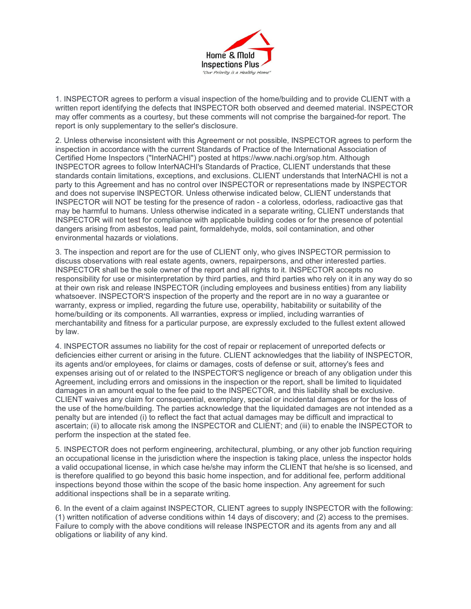

1. INSPECTOR agrees to perform a visual inspection of the home/building and to provide CLIENT with a written report identifying the defects that INSPECTOR both observed and deemed material. INSPECTOR may offer comments as a courtesy, but these comments will not comprise the bargained-for report. The report is only supplementary to the seller's disclosure.

2. Unless otherwise inconsistent with this Agreement or not possible, INSPECTOR agrees to perform the inspection in accordance with the current Standards of Practice of the International Association of Certified Home Inspectors ("InterNACHI") posted at https://www.nachi.org/sop.htm. Although INSPECTOR agrees to follow InterNACHI's Standards of Practice, CLIENT understands that these standards contain limitations, exceptions, and exclusions. CLIENT understands that InterNACHI is not a party to this Agreement and has no control over INSPECTOR or representations made by INSPECTOR and does not supervise INSPECTOR. Unless otherwise indicated below, CLIENT understands that INSPECTOR will NOT be testing for the presence of radon - a colorless, odorless, radioactive gas that may be harmful to humans. Unless otherwise indicated in a separate writing, CLIENT understands that INSPECTOR will not test for compliance with applicable building codes or for the presence of potential dangers arising from asbestos, lead paint, formaldehyde, molds, soil contamination, and other environmental hazards or violations.

3. The inspection and report are for the use of CLIENT only, who gives INSPECTOR permission to discuss observations with real estate agents, owners, repairpersons, and other interested parties. INSPECTOR shall be the sole owner of the report and all rights to it. INSPECTOR accepts no responsibility for use or misinterpretation by third parties, and third parties who rely on it in any way do so at their own risk and release INSPECTOR (including employees and business entities) from any liability whatsoever. INSPECTOR'S inspection of the property and the report are in no way a guarantee or warranty, express or implied, regarding the future use, operability, habitability or suitability of the home/building or its components. All warranties, express or implied, including warranties of merchantability and fitness for a particular purpose, are expressly excluded to the fullest extent allowed by law.

4. INSPECTOR assumes no liability for the cost of repair or replacement of unreported defects or deficiencies either current or arising in the future. CLIENT acknowledges that the liability of INSPECTOR, its agents and/or employees, for claims or damages, costs of defense or suit, attorney's fees and expenses arising out of or related to the INSPECTOR'S negligence or breach of any obligation under this Agreement, including errors and omissions in the inspection or the report, shall be limited to liquidated damages in an amount equal to the fee paid to the INSPECTOR, and this liability shall be exclusive. CLIENT waives any claim for consequential, exemplary, special or incidental damages or for the loss of the use of the home/building. The parties acknowledge that the liquidated damages are not intended as a penalty but are intended (i) to reflect the fact that actual damages may be difficult and impractical to ascertain; (ii) to allocate risk among the INSPECTOR and CLIENT; and (iii) to enable the INSPECTOR to perform the inspection at the stated fee.

5. INSPECTOR does not perform engineering, architectural, plumbing, or any other job function requiring an occupational license in the jurisdiction where the inspection is taking place, unless the inspector holds a valid occupational license, in which case he/she may inform the CLIENT that he/she is so licensed, and is therefore qualified to go beyond this basic home inspection, and for additional fee, perform additional inspections beyond those within the scope of the basic home inspection. Any agreement for such additional inspections shall be in a separate writing.

6. In the event of a claim against INSPECTOR, CLIENT agrees to supply INSPECTOR with the following: (1) written notification of adverse conditions within 14 days of discovery; and (2) access to the premises. Failure to comply with the above conditions will release INSPECTOR and its agents from any and all obligations or liability of any kind.